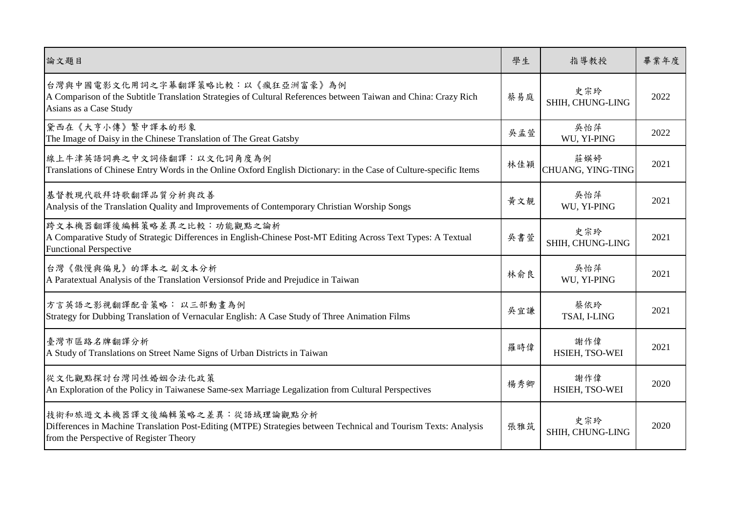| 論文題目                                                                                                                                                                                        | 學生  | 指導教授                     | 畢業年度 |
|---------------------------------------------------------------------------------------------------------------------------------------------------------------------------------------------|-----|--------------------------|------|
| 台灣與中國電影文化用詞之字幕翻譯策略比較:以《瘋狂亞洲富豪》為例<br>A Comparison of the Subtitle Translation Strategies of Cultural References between Taiwan and China: Crazy Rich<br>Asians as a Case Study               | 蔡易庭 | 史宗玲<br>SHIH, CHUNG-LING  | 2022 |
| 黛西在《大亨小傳》繁中譯本的形象<br>The Image of Daisy in the Chinese Translation of The Great Gatsby                                                                                                       | 吳孟萱 | 吳怡萍<br>WU, YI-PING       | 2022 |
| 線上牛津英語詞典之中文詞條翻譯:以文化詞角度為例<br>Translations of Chinese Entry Words in the Online Oxford English Dictionary: in the Case of Culture-specific Items                                              | 林佳穎 | 莊媖婷<br>CHUANG, YING-TING | 2021 |
| 基督教現代敬拜詩歌翻譯品質分析與改善<br>Analysis of the Translation Quality and Improvements of Contemporary Christian Worship Songs                                                                          | 黄文靚 | 吳怡萍<br>WU, YI-PING       | 2021 |
| 跨文本機器翻譯後編輯策略差異之比較:功能觀點之論析<br>A Comparative Study of Strategic Differences in English-Chinese Post-MT Editing Across Text Types: A Textual<br><b>Functional Perspective</b>                  | 吳書萱 | 史宗玲<br>SHIH, CHUNG-LING  | 2021 |
| 台灣《傲慢與偏見》的譯本之副文本分析<br>A Paratextual Analysis of the Translation Versionsof Pride and Prejudice in Taiwan                                                                                    | 林俞良 | 吳怡萍<br>WU, YI-PING       | 2021 |
| 方言英語之影視翻譯配音策略: 以三部動畫為例<br>Strategy for Dubbing Translation of Vernacular English: A Case Study of Three Animation Films                                                                     | 吳宜謙 | 蔡依玲<br>TSAI, I-LING      | 2021 |
| 臺灣市區路名牌翻譯分析<br>A Study of Translations on Street Name Signs of Urban Districts in Taiwan                                                                                                    | 羅時偉 | 謝作偉<br>HSIEH, TSO-WEI    | 2021 |
| 從文化觀點探討台灣同性婚姻合法化政策<br>An Exploration of the Policy in Taiwanese Same-sex Marriage Legalization from Cultural Perspectives                                                                   | 楊秀卿 | 謝作偉<br>HSIEH, TSO-WEI    | 2020 |
| 技術和旅遊文本機器譯文後編輯策略之差異:從語域理論觀點分析<br>Differences in Machine Translation Post-Editing (MTPE) Strategies between Technical and Tourism Texts: Analysis<br>from the Perspective of Register Theory | 張雅筑 | 史宗玲<br>SHIH, CHUNG-LING  | 2020 |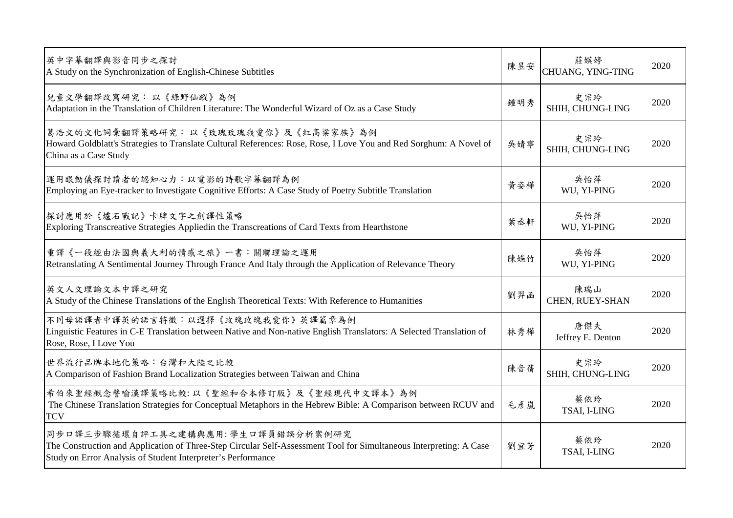| 英中字幕翻譯與影音同步之探討<br>A Study on the Synchronization of English-Chinese Subtitles                                                                                                                                           | 陳昱安 | 莊媖婷<br>CHUANG, YING-TING | 2020 |
|-------------------------------------------------------------------------------------------------------------------------------------------------------------------------------------------------------------------------|-----|--------------------------|------|
| 兒童文學翻譯改寫研究:以《綠野仙蹤》為例<br>Adaptation in the Translation of Children Literature: The Wonderful Wizard of Oz as a Case Study                                                                                                | 鍾明秀 | 史宗玲<br>SHIH, CHUNG-LING  | 2020 |
| 葛浩文的文化詞彙翻譯策略研究:以《玫瑰玫瑰我愛你》及《紅高粱家族》為例<br>Howard Goldblatt's Strategies to Translate Cultural References: Rose, Rose, I Love You and Red Sorghum: A Novel of<br>China as a Case Study                                      | 吳婧寧 | 史宗玲<br>SHIH, CHUNG-LING  | 2020 |
| 運用眼動儀探討讀者的認知心力︰以電影的詩歌字幕翻譯為例<br>Employing an Eye-tracker to Investigate Cognitive Efforts: A Case Study of Poetry Subtitle Translation                                                                                   | 黃姿樺 | 吳怡萍<br>WU, YI-PING       | 2020 |
| 探討應用於《爐石戰記》卡牌文字之創譯性策略<br>Exploring Transcreative Strategies Appliedin the Transcreations of Card Texts from Hearthstone                                                                                                 | 葉丞軒 | 吳怡萍<br>WU, YI-PING       | 2020 |
| 重譯《一段經由法國與義大利的情感之旅》一書:關聯理論之運用<br>Retranslating A Sentimental Journey Through France And Italy through the Application of Relevance Theory                                                                               | 陳嬿竹 | 吳怡萍<br>WU, YI-PING       | 2020 |
| 英文人文理論文本中譯之研究<br>A Study of the Chinese Translations of the English Theoretical Texts: With Reference to Humanities                                                                                                     | 劉羿函 | 陳瑞山<br>CHEN, RUEY-SHAN   | 2020 |
| 不同母語譯者中譯英的語言特徵:以選擇《玫瑰玫瑰我愛你》英譯篇章為例<br>Linguistic Features in C-E Translation between Native and Non-native English Translators: A Selected Translation of<br>Rose, Rose, I Love You                                      | 林秀樺 | 唐傑夫<br>Jeffrey E. Denton | 2020 |
| 世界流行品牌本地化策略:台灣和大陸之比較<br>A Comparison of Fashion Brand Localization Strategies between Taiwan and China                                                                                                                  | 陳音蒨 | 史宗玲<br>SHIH, CHUNG-LING  | 2020 |
| 希伯來聖經概念譬喻漢譯策略比較:以《聖經和合本修訂版》及《聖經現代中文譯本》為例<br>The Chinese Translation Strategies for Conceptual Metaphors in the Hebrew Bible: A Comparison between RCUV and<br><b>TCV</b>                                                | 毛彦嵐 | 蔡依玲<br>TSAI, I-LING      | 2020 |
| 同步口譯三步驟循環自評工具之建構與應用:學生口譯員錯誤分析案例研究<br>The Construction and Application of Three-Step Circular Self-Assessment Tool for Simultaneous Interpreting: A Case<br>Study on Error Analysis of Student Interpreter's Performance | 劉宜芳 | 蔡依玲<br>TSAI, I-LING      | 2020 |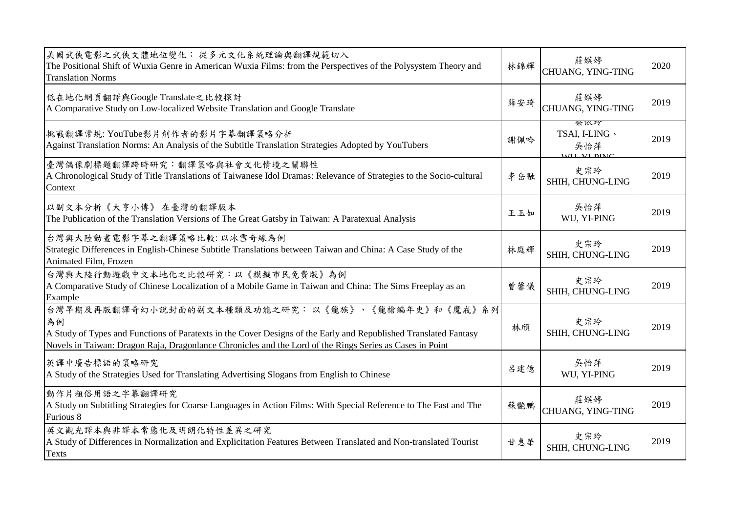| 美國武俠電影之武俠文體地位變化:從多元文化系統理論與翻譯規範切入<br>The Positional Shift of Wuxia Genre in American Wuxia Films: from the Perspectives of the Polysystem Theory and<br><b>Translation Norms</b>                                                                                                        | 林錦輝 | 莊媖婷<br>CHUANG, YING-TING                     | 2020 |
|----------------------------------------------------------------------------------------------------------------------------------------------------------------------------------------------------------------------------------------------------------------------------------------|-----|----------------------------------------------|------|
| 低在地化網頁翻譯與Google Translate之比較探討<br>A Comparative Study on Low-localized Website Translation and Google Translate                                                                                                                                                                        | 薛安琦 | 莊媖婷<br>CHUANG, YING-TING                     | 2019 |
| 挑戰翻譯常規: YouTube影片創作者的影片字幕翻譯策略分析<br>Against Translation Norms: An Analysis of the Subtitle Translation Strategies Adopted by YouTubers                                                                                                                                                  | 謝佩吟 | 祭似玲<br>TSAI, I-LING 、<br>吳怡萍<br>WILL VI DIMC | 2019 |
| 臺灣偶像劇標題翻譯跨時研究:翻譯策略與社會文化情境之關聯性<br>A Chronological Study of Title Translations of Taiwanese Idol Dramas: Relevance of Strategies to the Socio-cultural<br>Context                                                                                                                        | 李岳融 | 史宗玲<br>SHIH, CHUNG-LING                      | 2019 |
| 以副文本分析《大亨小傳》在臺灣的翻譯版本<br>The Publication of the Translation Versions of The Great Gatsby in Taiwan: A Paratexual Analysis                                                                                                                                                               | 王玉如 | 吳怡萍<br>WU, YI-PING                           | 2019 |
| 台灣與大陸動畫電影字幕之翻譯策略比較:以冰雪奇緣為例<br>Strategic Differences in English-Chinese Subtitle Translations between Taiwan and China: A Case Study of the<br>Animated Film, Frozen                                                                                                                    | 林庭輝 | 史宗玲<br>SHIH, CHUNG-LING                      | 2019 |
| 台灣與大陸行動遊戲中文本地化之比較研究:以《模擬市民免費版》為例<br>A Comparative Study of Chinese Localization of a Mobile Game in Taiwan and China: The Sims Freeplay as an<br>Example                                                                                                                               | 曾馨儀 | 史宗玲<br>SHIH, CHUNG-LING                      | 2019 |
| 台灣早期及再版翻譯奇幻小說封面的副文本種類及功能之研究:以《龍族》、《龍槍編年史》和《魔戒》系列<br>為例<br>A Study of Types and Functions of Paratexts in the Cover Designs of the Early and Republished Translated Fantasy<br>Novels in Taiwan: Dragon Raja, Dragonlance Chronicles and the Lord of the Rings Series as Cases in Point | 林頎  | 史宗玲<br>SHIH, CHUNG-LING                      | 2019 |
| 英譯中廣告標語的策略研究<br>A Study of the Strategies Used for Translating Advertising Slogans from English to Chinese                                                                                                                                                                             | 呂建億 | 吳怡萍<br>WU, YI-PING                           | 2019 |
| 動作片粗俗用語之字幕翻譯研究<br>A Study on Subtitling Strategies for Coarse Languages in Action Films: With Special Reference to The Fast and The<br>Furious 8                                                                                                                                       | 蘇艷鵬 | 莊媖婷<br>CHUANG, YING-TING                     | 2019 |
| 英文觀光譯本與非譯本常態化及明朗化特性差異之研究<br>A Study of Differences in Normalization and Explicitation Features Between Translated and Non-translated Tourist<br>Texts                                                                                                                                  | 甘惠華 | 史宗玲<br>SHIH, CHUNG-LING                      | 2019 |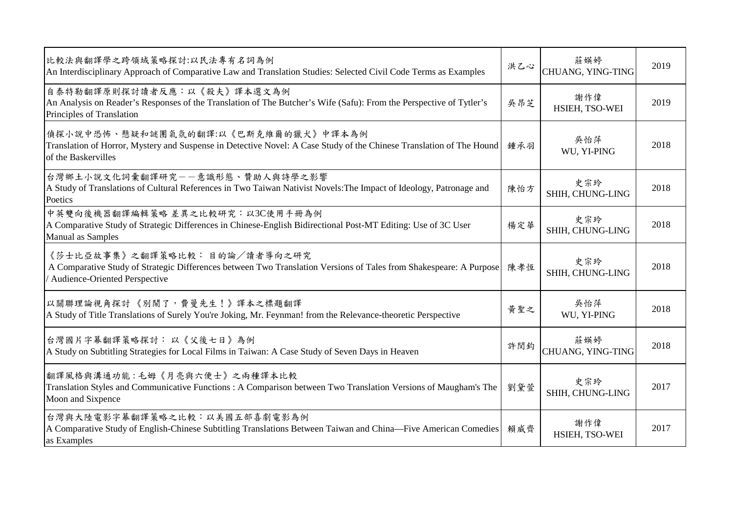| 比較法與翻譯學之跨領域策略探討:以民法專有名詞為例<br>An Interdisciplinary Approach of Comparative Law and Translation Studies: Selected Civil Code Terms as Examples                                         | 洪乙心 | 莊媖婷<br>CHUANG, YING-TING | 2019 |
|--------------------------------------------------------------------------------------------------------------------------------------------------------------------------------------|-----|--------------------------|------|
| 自泰特勒翻譯原則探討讀者反應:以《殺夫》譯本選文為例<br>An Analysis on Reader's Responses of the Translation of The Butcher's Wife (Safu): From the Perspective of Tytler's<br>Principles of Translation       | 吳昂芝 | 謝作偉<br>HSIEH, TSO-WEI    | 2019 |
| 偵探小說中恐怖、懸疑和謎團氣氛的翻譯:以《巴斯克維爾的獵犬》中譯本為例<br>Translation of Horror, Mystery and Suspense in Detective Novel: A Case Study of the Chinese Translation of The Hound<br>of the Baskervilles   | 鍾承羽 | 吳怡萍<br>WU, YI-PING       | 2018 |
| 台灣鄉土小說文化詞彙翻譯研究––意識形態、贊助人與詩學之影響<br>A Study of Translations of Cultural References in Two Taiwan Nativist Novels: The Impact of Ideology, Patronage and<br>Poetics                     | 陳怡方 | 史宗玲<br>SHIH, CHUNG-LING  | 2018 |
| 中英雙向後機器翻譯編輯策略 差異之比較研究:以3C使用手冊為例<br>A Comparative Study of Strategic Differences in Chinese-English Bidirectional Post-MT Editing: Use of 3C User<br>Manual as Samples                | 楊定華 | 史宗玲<br>SHIH, CHUNG-LING  | 2018 |
| 《莎士比亞故事集》之翻譯策略比較: 目的論/讀者導向之研究<br>A Comparative Study of Strategic Differences between Two Translation Versions of Tales from Shakespeare: A Purpose<br>Audience-Oriented Perspective | 陳孝恆 | 史宗玲<br>SHIH, CHUNG-LING  | 2018 |
| 以關聯理論視角探討《別鬧了,費曼先生!》譯本之標題翻譯<br>A Study of Title Translations of Surely You're Joking, Mr. Feynman! from the Relevance-theoretic Perspective                                          | 黄聖之 | 吳怡萍<br>WU, YI-PING       | 2018 |
| 台灣國片字幕翻譯策略探討: 以《父後七日》為例<br>A Study on Subtitling Strategies for Local Films in Taiwan: A Case Study of Seven Days in Heaven                                                          | 許閔鈞 | 莊媖婷<br>CHUANG, YING-TING | 2018 |
| 翻譯風格與溝通功能:毛姆《月亮與六便士》之兩種譯本比較<br>Translation Styles and Communicative Functions : A Comparison between Two Translation Versions of Maugham's The<br>Moon and Sixpence                  | 劉黛萱 | 史宗玲<br>SHIH, CHUNG-LING  | 2017 |
| 台灣與大陸電影字幕翻譯策略之比較:以美國五部喜劇電影為例<br>A Comparative Study of English-Chinese Subtitling Translations Between Taiwan and China—Five American Comedies<br>as Examples                        | 賴威齊 | 謝作偉<br>HSIEH, TSO-WEI    | 2017 |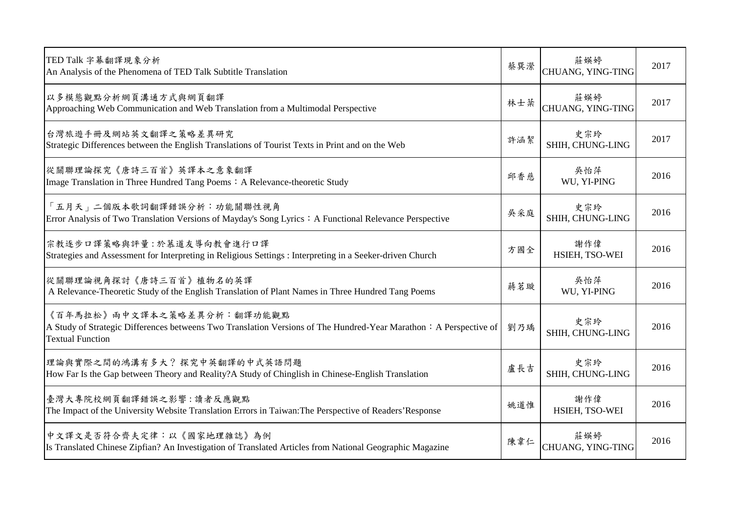| TED Talk 字幕翻譯現象分析<br>An Analysis of the Phenomena of TED Talk Subtitle Translation                                                                                         | 蔡巽瀠 | 莊媖婷<br>CHUANG, YING-TING | 2017 |
|----------------------------------------------------------------------------------------------------------------------------------------------------------------------------|-----|--------------------------|------|
| 以多模態觀點分析網頁溝通方式與網頁翻譯<br>Approaching Web Communication and Web Translation from a Multimodal Perspective                                                                     | 林士棻 | 莊媖婷<br>CHUANG, YING-TING | 2017 |
| 台灣旅遊手冊及網站英文翻譯之策略差異研究<br>Strategic Differences between the English Translations of Tourist Texts in Print and on the Web                                                    | 許涵絜 | 史宗玲<br>SHIH, CHUNG-LING  | 2017 |
| 從關聯理論探究《唐詩三百首》英譯本之意象翻譯<br>Image Translation in Three Hundred Tang Poems: A Relevance-theoretic Study                                                                       | 邱香慈 | 吳怡萍<br>WU, YI-PING       | 2016 |
| 「五月天」二個版本歌詞翻譯錯誤分析:功能關聯性視角<br>Error Analysis of Two Translation Versions of Mayday's Song Lyrics : A Functional Relevance Perspective                                       | 吳采庭 | 史宗玲<br>SHIH, CHUNG-LING  | 2016 |
| 宗教逐步口譯策略與評量:於慕道友導向教會進行口譯<br>Strategies and Assessment for Interpreting in Religious Settings : Interpreting in a Seeker-driven Church                                      | 方國全 | 謝作偉<br>HSIEH, TSO-WEI    | 2016 |
| 從關聯理論視角探討《唐詩三百首》植物名的英譯<br>A Relevance-Theoretic Study of the English Translation of Plant Names in Three Hundred Tang Poems                                                | 蔣茗璇 | 吳怡萍<br>WU, YI-PING       | 2016 |
| 《百年馬拉松》兩中文譯本之策略差異分析:翻譯功能觀點<br>A Study of Strategic Differences betweens Two Translation Versions of The Hundred-Year Marathon: A Perspective of<br><b>Textual Function</b> | 劉乃瑀 | 史宗玲<br>SHIH, CHUNG-LING  | 2016 |
| 理論與實際之間的鴻溝有多大?探究中英翻譯的中式英語問題<br>How Far Is the Gap between Theory and Reality?A Study of Chinglish in Chinese-English Translation                                           | 盧長吉 | 史宗玲<br>SHIH, CHUNG-LING  | 2016 |
| 臺灣大專院校網頁翻譯錯誤之影響:讀者反應觀點<br>The Impact of the University Website Translation Errors in Taiwan: The Perspective of Readers' Response                                          | 姚道惟 | 謝作偉<br>HSIEH, TSO-WEI    | 2016 |
| 中文譯文是否符合齊夫定律:以《國家地理雜誌》為例<br>Is Translated Chinese Zipfian? An Investigation of Translated Articles from National Geographic Magazine                                       | 陳韋仁 | 莊媖婷<br>CHUANG, YING-TING | 2016 |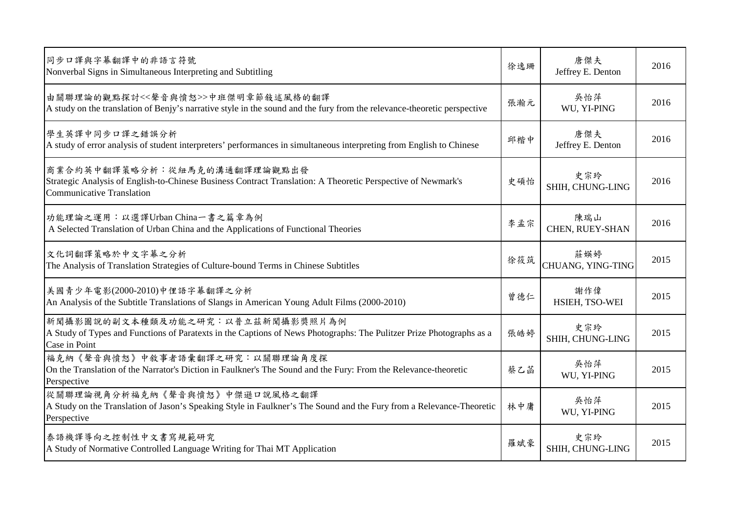| 同步口譯與字幕翻譯中的非語言符號<br>Nonverbal Signs in Simultaneous Interpreting and Subtitling                                                                                                  | 徐逸珊 | 唐傑夫<br>Jeffrey E. Denton | 2016 |
|----------------------------------------------------------------------------------------------------------------------------------------------------------------------------------|-----|--------------------------|------|
| 由關聯理論的觀點探討<<聲音與憤怒>>中班傑明章節敍述風格的翻譯<br>A study on the translation of Benjy's narrative style in the sound and the fury from the relevance-theoretic perspective                     | 張瀚元 | 吳怡萍<br>WU, YI-PING       | 2016 |
| 學生英譯中同步口譯之錯誤分析<br>A study of error analysis of student interpreters' performances in simultaneous interpreting from English to Chinese                                           | 邱楷中 | 唐傑夫<br>Jeffrey E. Denton | 2016 |
| 商業合約英中翻譯策略分析:從紐馬克的溝通翻譯理論觀點出發<br>Strategic Analysis of English-to-Chinese Business Contract Translation: A Theoretic Perspective of Newmark's<br><b>Communicative Translation</b> | 史碩怡 | 史宗玲<br>SHIH, CHUNG-LING  | 2016 |
| 功能理論之運用:以選譯Urban China一書之篇章為例<br>A Selected Translation of Urban China and the Applications of Functional Theories                                                               | 李孟宗 | 陳瑞山<br>CHEN, RUEY-SHAN   | 2016 |
| 文化詞翻譯策略於中文字幕之分析<br>The Analysis of Translation Strategies of Culture-bound Terms in Chinese Subtitles                                                                            | 徐筱筑 | 莊媖婷<br>CHUANG, YING-TING | 2015 |
| 美國青少年電影(2000-2010)中俚語字幕翻譯之分析<br>An Analysis of the Subtitle Translations of Slangs in American Young Adult Films (2000-2010)                                                     | 曾德仁 | 謝作偉<br>HSIEH, TSO-WEI    | 2015 |
| 新聞攝影圖說的副文本種類及功能之研究:以普立茲新聞攝影獎照片為例<br>A Study of Types and Functions of Paratexts in the Captions of News Photographs: The Pulitzer Prize Photographs as a<br>Case in Point        | 張皓婷 | 史宗玲<br>SHIH, CHUNG-LING  | 2015 |
| 福克納《聲音與憤怒》中敘事者語彙翻譯之研究:以關聯理論角度探<br>On the Translation of the Narrator's Diction in Faulkner's The Sound and the Fury: From the Relevance-theoretic<br>Perspective                 | 蔡乙菡 | 吳怡萍<br>WU, YI-PING       | 2015 |
| 從關聯理論視角分析福克納《聲音與憤怒》中傑遜口說風格之翻譯<br>A Study on the Translation of Jason's Speaking Style in Faulkner's The Sound and the Fury from a Relevance-Theoretic<br>Perspective             | 林中庸 | 吳怡萍<br>WU, YI-PING       | 2015 |
| 泰語機譯導向之控制性中文書寫規範研究<br>A Study of Normative Controlled Language Writing for Thai MT Application                                                                                   | 羅斌豪 | 史宗玲<br>SHIH, CHUNG-LING  | 2015 |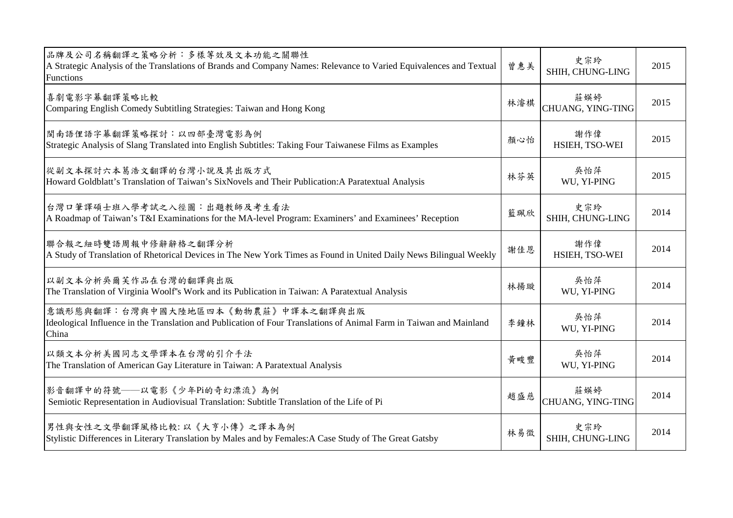| 品牌及公司名稱翻譯之策略分析:多樣等效及文本功能之關聯性<br>A Strategic Analysis of the Translations of Brands and Company Names: Relevance to Varied Equivalences and Textual<br>Functions    | 曾惠美 | 史宗玲<br>SHIH, CHUNG-LING  | 2015 |
|--------------------------------------------------------------------------------------------------------------------------------------------------------------------|-----|--------------------------|------|
| 喜劇電影字幕翻譯策略比較<br>Comparing English Comedy Subtitling Strategies: Taiwan and Hong Kong                                                                               | 林濬棋 | 莊媖婷<br>CHUANG, YING-TING | 2015 |
| 閩南語俚語字幕翻譯策略探討:以四部臺灣電影為例<br>Strategic Analysis of Slang Translated into English Subtitles: Taking Four Taiwanese Films as Examples                                  | 顏心怡 | 謝作偉<br>HSIEH, TSO-WEI    | 2015 |
| 從副文本探討六本葛浩文翻譯的台灣小說及其出版方式<br>Howard Goldblatt's Translation of Taiwan's SixNovels and Their Publication: A Paratextual Analysis                                     | 林芬英 | 吳怡萍<br>WU, YI-PING       | 2015 |
| 台灣口筆譯碩士班入學考試之入徑圖:出題教師及考生看法<br>A Roadmap of Taiwan's T&I Examinations for the MA-level Program: Examiners' and Examinees' Reception                                 | 籃珮欣 | 史宗玲<br>SHIH, CHUNG-LING  | 2014 |
| 聯合報之紐時雙語周報中修辭辭格之翻譯分析<br>A Study of Translation of Rhetorical Devices in The New York Times as Found in United Daily News Bilingual Weekly                          | 謝佳恩 | 謝作偉<br>HSIEH, TSO-WEI    | 2014 |
| 以副文本分析吳爾芙作品在台灣的翻譯與出版<br>The Translation of Virginia Woolf's Work and its Publication in Taiwan: A Paratextual Analysis                                             | 林揚璇 | 吳怡萍<br>WU, YI-PING       | 2014 |
| 意識形態與翻譯:台灣與中國大陸地區四本《動物農莊》中譯本之翻譯與出版<br>Ideological Influence in the Translation and Publication of Four Translations of Animal Farm in Taiwan and Mainland<br>China | 李鐘林 | 吳怡萍<br>WU, YI-PING       | 2014 |
| 以類文本分析美國同志文學譯本在台灣的引介手法<br>The Translation of American Gay Literature in Taiwan: A Paratextual Analysis                                                             | 黃畯豐 | 吳怡萍<br>WU, YI-PING       | 2014 |
| 影音翻譯中的符號——以電影《少年Pi的奇幻漂流》為例<br>Semiotic Representation in Audiovisual Translation: Subtitle Translation of the Life of Pi                                           | 趙盛慈 | 莊媖婷<br>CHUANG, YING-TING | 2014 |
| 男性與女性之文學翻譯風格比較:以《大亨小傳》之譯本為例<br>Stylistic Differences in Literary Translation by Males and by Females: A Case Study of The Great Gatsby                             | 林易徵 | 史宗玲<br>SHIH, CHUNG-LING  | 2014 |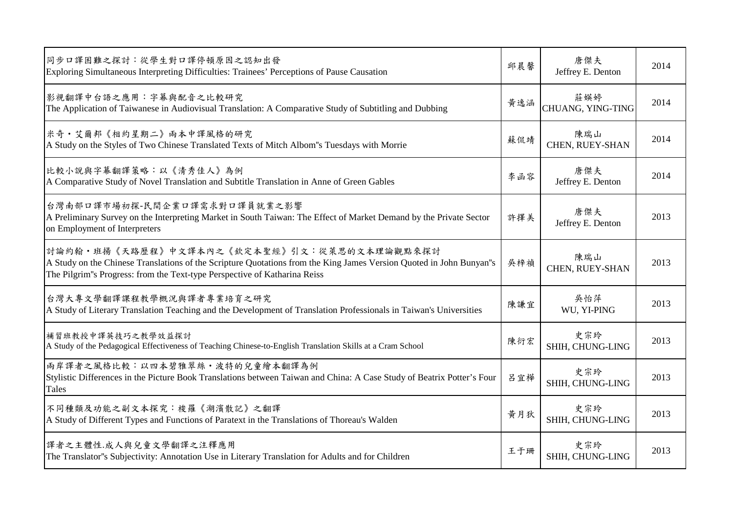| 同步口譯困難之探討:從學生對口譯停頓原因之認知出發<br>Exploring Simultaneous Interpreting Difficulties: Trainees' Perceptions of Pause Causation                                                                                                                        | 邱晨馨 | 唐傑夫<br>Jeffrey E. Denton | 2014 |
|------------------------------------------------------------------------------------------------------------------------------------------------------------------------------------------------------------------------------------------------|-----|--------------------------|------|
| 影視翻譯中台語之應用:字幕與配音之比較研究<br>The Application of Taiwanese in Audiovisual Translation: A Comparative Study of Subtitling and Dubbing                                                                                                                | 黃逸涵 | 莊媖婷<br>CHUANG, YING-TING | 2014 |
| <b>米奇·艾爾邦《相約星期二》兩本中譯風格的研究</b><br>A Study on the Styles of Two Chinese Translated Texts of Mitch Albom"s Tuesdays with Morrie                                                                                                                   | 蘇侃靖 | 陳瑞山<br>CHEN, RUEY-SHAN   | 2014 |
| 比較小說與字幕翻譯策略:以《清秀佳人》為例<br>A Comparative Study of Novel Translation and Subtitle Translation in Anne of Green Gables                                                                                                                             | 李函容 | 唐傑夫<br>Jeffrey E. Denton | 2014 |
| 台灣南部口譯市場初探-民間企業口譯需求對口譯員就業之影響<br>A Preliminary Survey on the Interpreting Market in South Taiwan: The Effect of Market Demand by the Private Sector<br>on Employment of Interpreters                                                            | 許擇美 | 唐傑夫<br>Jeffrey E. Denton | 2013 |
| 討論約翰·班揚《天路歷程》中文譯本內之《欽定本聖經》引文:從萊思的文本理論觀點來探討<br>A Study on the Chinese Translations of the Scripture Quotations from the King James Version Quoted in John Bunyan"s<br>The Pilgrim"s Progress: from the Text-type Perspective of Katharina Reiss | 吳梓禎 | 陳瑞山<br>CHEN, RUEY-SHAN   | 2013 |
| 台灣大專文學翻譯課程教學概況與譯者專業培育之研究<br>A Study of Literary Translation Teaching and the Development of Translation Professionals in Taiwan's Universities                                                                                                 | 陳謙宜 | 吳怡萍<br>WU, YI-PING       | 2013 |
| 補習班教授中譯英技巧之教學效益探討<br>A Study of the Pedagogical Effectiveness of Teaching Chinese-to-English Translation Skills at a Cram School                                                                                                               | 陳衍宏 | 史宗玲<br>SHIH, CHUNG-LING  | 2013 |
| 兩岸譯者之風格比較:以四本碧雅翠絲·波特的兒童繪本翻譯為例<br>Stylistic Differences in the Picture Book Translations between Taiwan and China: A Case Study of Beatrix Potter's Four<br>Tales                                                                               | 呂宜樺 | 史宗玲<br>SHIH, CHUNG-LING  | 2013 |
| 不同種類及功能之副文本探究:梭羅《湖濱散記》之翻譯<br>A Study of Different Types and Functions of Paratext in the Translations of Thoreau's Walden                                                                                                                      | 黄月狄 | 史宗玲<br>SHIH, CHUNG-LING  | 2013 |
| 譯者之主體性.成人與兒童文學翻譯之注釋應用<br>The Translator"s Subjectivity: Annotation Use in Literary Translation for Adults and for Children                                                                                                                     | 王于珊 | 史宗玲<br>SHIH, CHUNG-LING  | 2013 |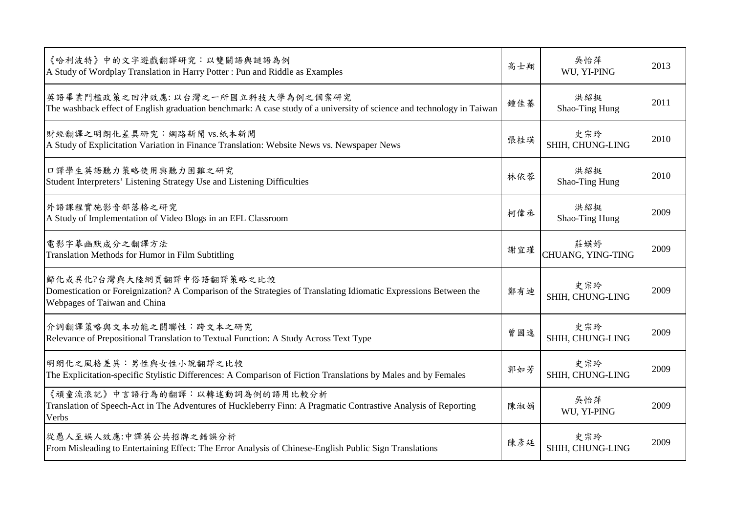| 《哈利波特》中的文字遊戲翻譯研究:以雙關語與謎語為例<br>A Study of Wordplay Translation in Harry Potter: Pun and Riddle as Examples                                                                     | 高士翔 | 吳怡萍<br>WU, YI-PING       | 2013 |
|-------------------------------------------------------------------------------------------------------------------------------------------------------------------------------|-----|--------------------------|------|
| 英語畢業門檻政策之回沖效應:以台灣之一所國立科技大學為例之個案研究<br>The washback effect of English graduation benchmark: A case study of a university of science and technology in Taiwan                    | 鍾佳蓁 | 洪紹挺<br>Shao-Ting Hung    | 2011 |
| 財經翻譯之明朗化差異研究:網路新聞 vs.紙本新聞<br>A Study of Explicitation Variation in Finance Translation: Website News vs. Newspaper News                                                       | 張桂瑛 | 史宗玲<br>SHIH, CHUNG-LING  | 2010 |
| 口譯學生英語聽力策略使用與聽力困難之研究<br>Student Interpreters' Listening Strategy Use and Listening Difficulties                                                                               | 林依蓉 | 洪紹挺<br>Shao-Ting Hung    | 2010 |
| 外語課程實施影音部落格之研究<br>A Study of Implementation of Video Blogs in an EFL Classroom                                                                                                | 柯偉丞 | 洪紹挺<br>Shao-Ting Hung    | 2009 |
| 電影字幕幽默成分之翻譯方法<br>Translation Methods for Humor in Film Subtitling                                                                                                             | 謝宜瑾 | 莊媖婷<br>CHUANG, YING-TING | 2009 |
| 歸化或異化?台灣與大陸網頁翻譯中俗語翻譯策略之比較<br>Domestication or Foreignization? A Comparison of the Strategies of Translating Idiomatic Expressions Between the<br>Webpages of Taiwan and China | 鄭有迪 | 史宗玲<br>SHIH, CHUNG-LING  | 2009 |
| 介詞翻譯策略與文本功能之關聯性︰跨文本之研究<br>Relevance of Prepositional Translation to Textual Function: A Study Across Text Type                                                                | 曾國逸 | 史宗玲<br>SHIH, CHUNG-LING  | 2009 |
| 明朗化之風格差異:男性與女性小說翻譯之比較<br>The Explicitation-specific Stylistic Differences: A Comparison of Fiction Translations by Males and by Females                                       | 郭如芳 | 史宗玲<br>SHIH, CHUNG-LING  | 2009 |
| 《頑童流浪記》中言語行為的翻譯:以轉述動詞為例的語用比較分析<br>Translation of Speech-Act in The Adventures of Huckleberry Finn: A Pragmatic Contrastive Analysis of Reporting<br>Verbs                     | 陳淑娟 | 吳怡萍<br>WU, YI-PING       | 2009 |
| 從愚人至娛人效應:中譯英公共招牌之錯誤分析<br>From Misleading to Entertaining Effect: The Error Analysis of Chinese-English Public Sign Translations                                               | 陳彥廷 | 史宗玲<br>SHIH, CHUNG-LING  | 2009 |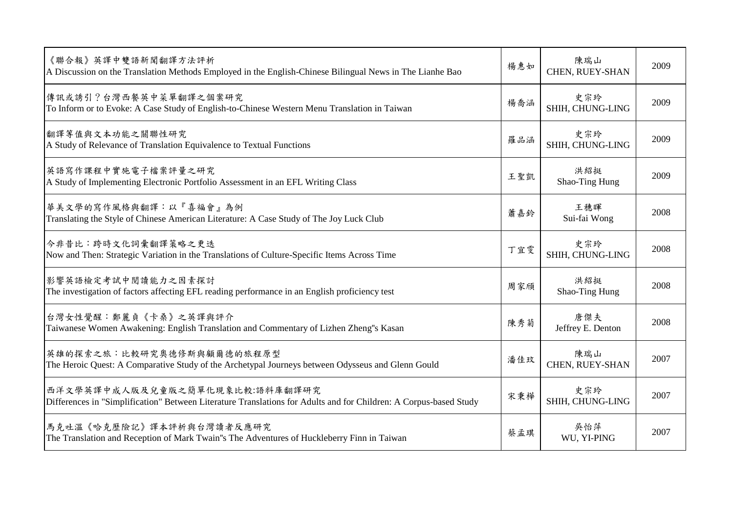| 《聯合報》英譯中雙語新聞翻譯方法評析<br>A Discussion on the Translation Methods Employed in the English-Chinese Bilingual News in The Lianhe Bao                      | 楊惠如 | 陳瑞山<br>CHEN, RUEY-SHAN   | 2009 |
|-----------------------------------------------------------------------------------------------------------------------------------------------------|-----|--------------------------|------|
| 傳訊或誘引?台灣西餐英中菜單翻譯之個案研究<br>To Inform or to Evoke: A Case Study of English-to-Chinese Western Menu Translation in Taiwan                               | 楊喬涵 | 史宗玲<br>SHIH, CHUNG-LING  | 2009 |
| 翻譯等值與文本功能之關聯性研究<br>A Study of Relevance of Translation Equivalence to Textual Functions                                                             | 羅品涵 | 史宗玲<br>SHIH, CHUNG-LING  | 2009 |
| 英語寫作課程中實施電子檔案評量之研究<br>A Study of Implementing Electronic Portfolio Assessment in an EFL Writing Class                                               | 王聖凱 | 洪紹挺<br>Shao-Ting Hung    | 2009 |
| 華美文學的寫作風格與翻譯:以『喜福會』為例<br>Translating the Style of Chinese American Literature: A Case Study of The Joy Luck Club                                    | 蕭嘉鈴 | 王穗暉<br>Sui-fai Wong      | 2008 |
| 今非昔比:跨時文化詞彙翻譯策略之更迭<br>Now and Then: Strategic Variation in the Translations of Culture-Specific Items Across Time                                   | 丁宜雯 | 史宗玲<br>SHIH, CHUNG-LING  | 2008 |
| 影響英語檢定考試中閱讀能力之因素探討<br>The investigation of factors affecting EFL reading performance in an English proficiency test                                 | 周家頎 | 洪紹挺<br>Shao-Ting Hung    | 2008 |
| 台灣女性覺醒:鄭麗貞《卡桑》之英譯與評介<br>Taiwanese Women Awakening: English Translation and Commentary of Lizhen Zheng"s Kasan                                       | 陳秀菊 | 唐傑夫<br>Jeffrey E. Denton | 2008 |
| 英雄的探索之旅:比較研究奧德修斯與顧爾德的旅程原型<br>The Heroic Quest: A Comparative Study of the Archetypal Journeys between Odysseus and Glenn Gould                      | 潘佳玟 | 陳瑞山<br>CHEN, RUEY-SHAN   | 2007 |
| 西洋文學英譯中成人版及兒童版之簡單化現象比較:語料庫翻譯研究<br>Differences in "Simplification" Between Literature Translations for Adults and for Children: A Corpus-based Study | 宋秉樺 | 史宗玲<br>SHIH, CHUNG-LING  | 2007 |
| 馬克吐溫《哈克歷險記》譯本評析與台灣讀者反應研究<br>The Translation and Reception of Mark Twain"s The Adventures of Huckleberry Finn in Taiwan                              | 蔡孟琪 | 吳怡萍<br>WU, YI-PING       | 2007 |